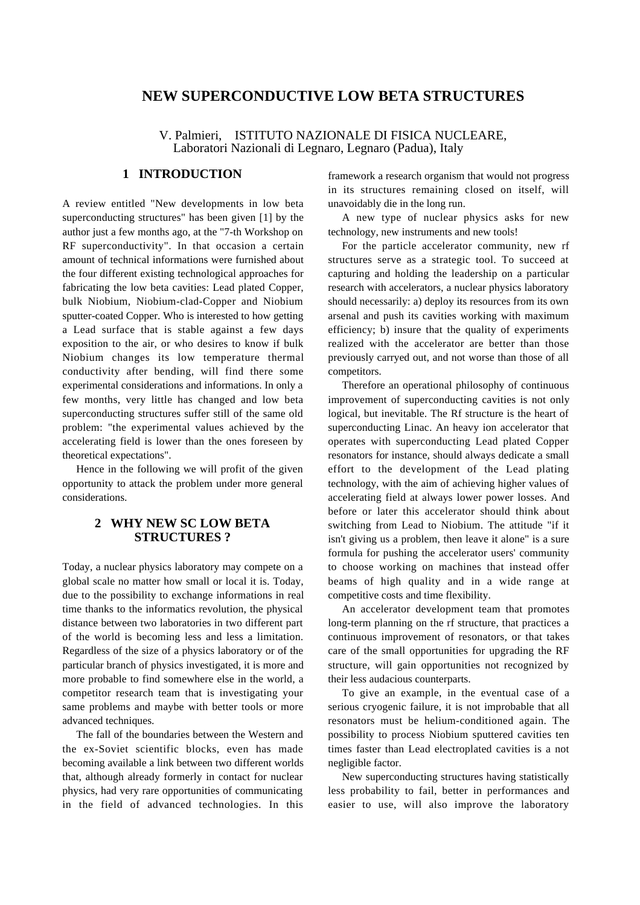# **NEW SUPERCONDUCTIVE LOW BETA STRUCTURES**

V. Palmieri, ISTITUTO NAZIONALE DI FISICA NUCLEARE, Laboratori Nazionali di Legnaro, Legnaro (Padua), Italy

# **1 INTRODUCTION**

A review entitled "New developments in low beta superconducting structures" has been given [1] by the author just a few months ago, at the "7-th Workshop on RF superconductivity". In that occasion a certain amount of technical informations were furnished about the four different existing technological approaches for fabricating the low beta cavities: Lead plated Copper, bulk Niobium, Niobium-clad-Copper and Niobium sputter-coated Copper. Who is interested to how getting a Lead surface that is stable against a few days exposition to the air, or who desires to know if bulk Niobium changes its low temperature thermal conductivity after bending, will find there some experimental considerations and informations. In only a few months, very little has changed and low beta superconducting structures suffer still of the same old problem: "the experimental values achieved by the accelerating field is lower than the ones foreseen by theoretical expectations".

Hence in the following we will profit of the given opportunity to attack the problem under more general considerations.

### **2 WHY NEW SC LOW BETA STRUCTURES ?**

Today, a nuclear physics laboratory may compete on a global scale no matter how small or local it is. Today, due to the possibility to exchange informations in real time thanks to the informatics revolution, the physical distance between two laboratories in two different part of the world is becoming less and less a limitation. Regardless of the size of a physics laboratory or of the particular branch of physics investigated, it is more and more probable to find somewhere else in the world, a competitor research team that is investigating your same problems and maybe with better tools or more advanced techniques.

The fall of the boundaries between the Western and the ex-Soviet scientific blocks, even has made becoming available a link between two different worlds that, although already formerly in contact for nuclear physics, had very rare opportunities of communicating in the field of advanced technologies. In this

framework a research organism that would not progress in its structures remaining closed on itself, will unavoidably die in the long run.

A new type of nuclear physics asks for new technology, new instruments and new tools!

For the particle accelerator community, new rf structures serve as a strategic tool. To succeed at capturing and holding the leadership on a particular research with accelerators, a nuclear physics laboratory should necessarily: a) deploy its resources from its own arsenal and push its cavities working with maximum efficiency; b) insure that the quality of experiments realized with the accelerator are better than those previously carryed out, and not worse than those of all competitors.

Therefore an operational philosophy of continuous improvement of superconducting cavities is not only logical, but inevitable. The Rf structure is the heart of superconducting Linac. An heavy ion accelerator that operates with superconducting Lead plated Copper resonators for instance, should always dedicate a small effort to the development of the Lead plating technology, with the aim of achieving higher values of accelerating field at always lower power losses. And before or later this accelerator should think about switching from Lead to Niobium. The attitude "if it isn't giving us a problem, then leave it alone" is a sure formula for pushing the accelerator users' community to choose working on machines that instead offer beams of high quality and in a wide range at competitive costs and time flexibility.

An accelerator development team that promotes long-term planning on the rf structure, that practices a continuous improvement of resonators, or that takes care of the small opportunities for upgrading the RF structure, will gain opportunities not recognized by their less aud acious counterparts.

To give an example, in the eventual case of a serious cryogenic failure, it is not improbable that all resonators must be helium-conditioned again. The possibility to process Niobium sputtered cavities ten times faster than Lead electroplated cavities is a not negligible factor.

New superconducting structures having statistically less probability to fail, better in performances and easier to use, will also improve the laboratory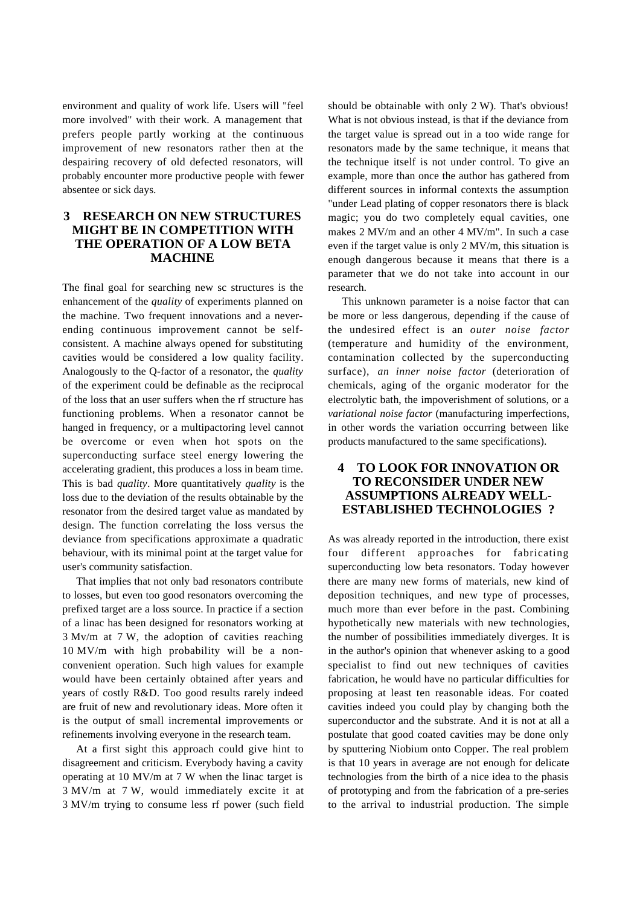environment and quality of work life. Users will "feel more involved" with their work. A management that prefers people partly working at the continuous improvement of new resonators rather then at the despairing recovery of old defected resonators, will probably encounter more productive people with fewer absentee or sick days.

# **3 RESEARCH ON NEW STRUCTURES MIGHT BE IN COMPETITION WITH THE OPERATION OF A LOW BETA MACHINE**

The final goal for searching new sc structures is the enhancement of the *quality* of experiments planned on the machine. Two frequent innovations and a neverending continuous improvement cannot be selfconsistent. A machine always opened for substituting cavities would be considered a low quality facility. Analogously to the Q-factor of a resonator, the *quality* of the experiment could be definable as the reciprocal of the loss that an user suffers when the rf structure has functioning problems. When a resonator cannot be hanged in frequency, or a multipactoring level cannot be overcome or even when hot spots on the superconducting surface steel energy lowering the accelerating gradient, this produces a loss in beam time. This is bad *quality*. More quantitatively *quality* is the loss due to the deviation of the results obtainable by the resonator from the desired target value as mandated by design. The function correlating the loss versus the deviance from specifications approximate a quadratic behaviour, with its minimal point at the target value for user's community satisfaction.

 That implies that not only bad resonators contribute to losses, but even too good resonators overcoming the prefixed target are a loss source. In practice if a section of a linac has been designed for resonators working at 3 Mv/m at 7 W, the adoption of cavities reaching 10 MV/m with high probability will be a nonconvenient operation. Such high values for example would have been certainly obtained after years and years of costly R&D. Too good results rarely indeed are fruit of new and revolutionary ideas. More often it is the output of small incremental improvements or refinements involving everyone in the research team.

At a first sight this approach could give hint to disagreement and criticism. Everybody having a cavity operating at 10 MV/m at 7 W when the linac target is 3 MV/m at 7 W, would immediately excite it at 3 MV/m trying to consume less rf power (such field

should be obtainable with only 2 W). That's obvious! What is not obvious instead, is that if the deviance from the target value is spread out in a too wide range for resonators made by the same technique, it means that the technique itself is not under control. To give an example, more than once the author has gathered from different sources in informal contexts the assumption "under Lead plating of copper resonators there is black magic; you do two completely equal cavities, one makes 2 MV/m and an other 4 MV/m". In such a case even if the target value is only 2 MV/m, this situation is enough dangerous because it means that there is a parameter that we do not take into account in our research.

This unknown parameter is a noise factor that can be more or less dangerous, depending if the cause of the undesired effect is an *outer noise factor* (temperature and humidity of the environment, contamination collected by the superconducting surface), *an inner noise factor* (deterioration of chemicals, aging of the organic moderator for the electrolytic bath, the impoverishment of solutions, or a *variational noise factor* (manufacturing imperfections, in other words the variation occurring between like products manufactured to the same specifications).

### **4 TO LOOK FOR INNOVATION OR TO RECONSIDER UNDER NEW ASSUMPTIONS ALREADY WELL-ESTABLISHED TECHNOLOGIES ?**

As was already reported in the introduction, there exist four different approaches for fabricating superconducting low beta resonators. Today however there are many new forms of materials, new kind of deposition techniques, and new type of processes, much more than ever before in the past. Combining hypothetically new materials with new technologies, the number of possibilities immediately diverges. It is in the author's opinion that whenever asking to a good specialist to find out new techniques of cavities fabrication, he would have no particular difficulties for proposing at least ten reasonable ideas. For coated cavities indeed you could play by changing both the superconductor and the substrate. And it is not at all a postulate that good coated cavities may be done only by sputtering Niobium onto Copper. The real problem is that 10 years in average are not enough for delicate technologies from the birth of a nice idea to the phasis of prototyping and from the fabrication of a pre-series to the arrival to industrial production. The simple